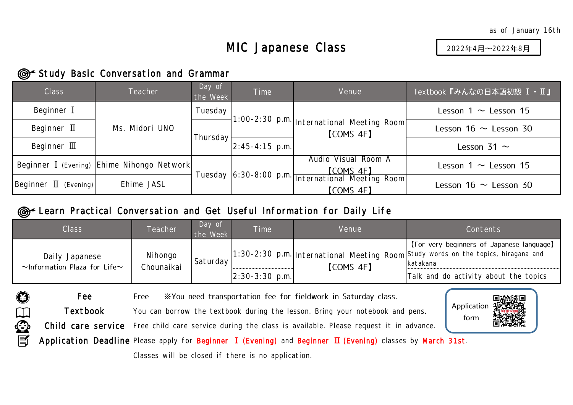## MIC Japanese Class

2022年4月~2022年8月

Application form

## **Study Basic Conversation and Grammar**

Fee

ORDE

| <b>Class</b>                               | <b>Teacher</b>                             | Day of<br>the Week | <b>Time</b>      | Venue                                                                 | Textbook『みんなの日本語初級 I · II』 |  |  |  |  |
|--------------------------------------------|--------------------------------------------|--------------------|------------------|-----------------------------------------------------------------------|----------------------------|--|--|--|--|
| Beginner I                                 |                                            | Tuesday            |                  |                                                                       | Lesson $1 \sim$ Lesson 15  |  |  |  |  |
| Beginner $\mathbf I$                       | Ms. Midori UNO                             |                    |                  | 1:00-2:30 p.m.   International Meeting Room<br>[COMS 4F]              | Lesson $16 \sim$ Lesson 30 |  |  |  |  |
| Beginner $\mathbb{II}$                     |                                            | Thursday           | $2:45-4:15$ p.m. |                                                                       | Lesson 31 $\sim$           |  |  |  |  |
|                                            | Beginner I (Evening) Ehime Nihongo Network |                    |                  | Audio Visual Room A<br><b>[COMS 4F]</b>                               | Lesson $1 \sim$ Lesson 15  |  |  |  |  |
| $\left  \text{Beginner} \right $ (Evening) | Ehime JASL                                 |                    |                  | Tuesday 6:30-8:00 p.m. International Meeting Room<br><b>[COMS 4F]</b> | Lesson $16 \sim$ Lesson 30 |  |  |  |  |

## **©** Learn Practical Conversation and Get Useful Information for Daily Life

| Class                                                      | Teacher               | Day of<br>the Week | <b>Time</b>      | Venue            | Contents                                                                                                                                    |
|------------------------------------------------------------|-----------------------|--------------------|------------------|------------------|---------------------------------------------------------------------------------------------------------------------------------------------|
| Daily Japanese<br>$\sim$ Information Plaza for Life $\sim$ | Nihongo<br>Chounaikai | Saturday           |                  | <b>[COMS 4F]</b> | [For very beginners of Japanese language]<br>1:30-2:30 p.m. International Meeting Room Study words on the topics, hiragana and<br>Ikatakana |
|                                                            |                       |                    | $2:30-3:30$ p.m. |                  | Talk and do activity about the topics                                                                                                       |

Free XYou need transportation fee for fieldwork in Saturday class.

You can borrow the textbook during the lesson. Bring your notebook and pens. Textbook

Child care service Free child care service during the class is available. Please request it in advance.

Application Deadline Please apply for **Beginner I (Evening)** and Beginner II (Evening) classes by March 31st.

Classes will be closed if there is no application.